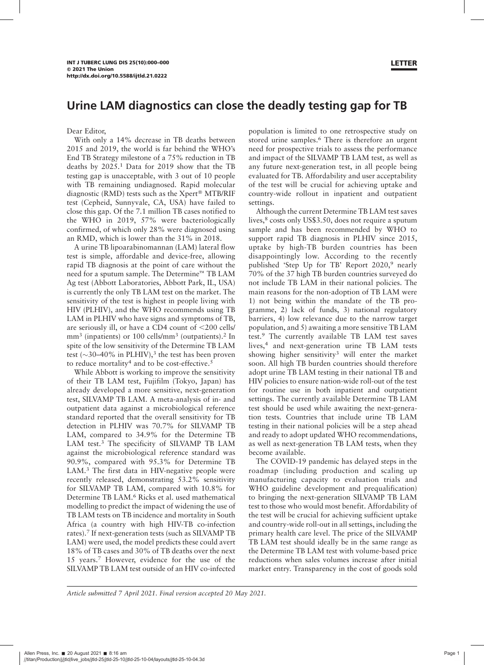Dear Editor,

With only a 14% decrease in TB deaths between 2015 and 2019, the world is far behind the WHO's End TB Strategy milestone of a 75% reduction in TB deaths by 2025.<sup>1</sup> Data for 2019 show that the TB testing gap is unacceptable, with 3 out of 10 people with TB remaining undiagnosed. Rapid molecular diagnostic (RMD) tests such as the  $Xperf^{\circledR}$  MTB/RIF test (Cepheid, Sunnyvale, CA, USA) have failed to close this gap. Of the 7.1 million TB cases notified to the WHO in 2019, 57% were bacteriologically confirmed, of which only 28% were diagnosed using an RMD, which is lower than the 31% in 2018.

A urine TB lipoarabinomannan (LAM) lateral flow test is simple, affordable and device-free, allowing rapid TB diagnosis at the point of care without the need for a sputum sample. The Determine<sup> $m$ </sup> TB LAM Ag test (Abbott Laboratories, Abbott Park, IL, USA) is currently the only TB LAM test on the market. The sensitivity of the test is highest in people living with HIV (PLHIV), and the WHO recommends using TB LAM in PLHIV who have signs and symptoms of TB, are seriously ill, or have a CD4 count of  $\langle 200 \text{ cells}/$ mm<sup>3</sup> (inpatients) or 100 cells/mm<sup>3</sup> (outpatients).<sup>2</sup> In spite of the low sensitivity of the Determine TB LAM test ( $\sim$ 30–40% in PLHIV),<sup>3</sup> the test has been proven to reduce mortality<sup>4</sup> and to be cost-effective.<sup>5</sup>

While Abbott is working to improve the sensitivity of their TB LAM test, Fujifilm (Tokyo, Japan) has already developed a more sensitive, next-generation test, SILVAMP TB LAM. A meta-analysis of in- and outpatient data against a microbiological reference standard reported that the overall sensitivity for TB detection in PLHIV was 70.7% for SILVAMP TB LAM, compared to 34.9% for the Determine TB LAM test.<sup>3</sup> The specificity of SILVAMP TB LAM against the microbiological reference standard was 90.9%, compared with 95.3% for Determine TB LAM.<sup>3</sup> The first data in HIV-negative people were recently released, demonstrating 53.2% sensitivity for SILVAMP TB LAM, compared with 10.8% for Determine TB LAM.<sup>6</sup> Ricks et al. used mathematical modelling to predict the impact of widening the use of TB LAM tests on TB incidence and mortality in South Africa (a country with high HIV-TB co-infection rates).<sup>7</sup> If next-generation tests (such as SILVAMP TB LAM) were used, the model predicts these could avert 18% of TB cases and 30% of TB deaths over the next 15 years.7 However, evidence for the use of the SILVAMP TB LAM test outside of an HIV co-infected population is limited to one retrospective study on stored urine samples.<sup>6</sup> There is therefore an urgent need for prospective trials to assess the performance and impact of the SILVAMP TB LAM test, as well as any future next-generation test, in all people being evaluated for TB. Affordability and user acceptability of the test will be crucial for achieving uptake and country-wide rollout in inpatient and outpatient settings.

Although the current Determine TB LAM test saves lives,<sup>8</sup> costs only US\$3.50, does not require a sputum sample and has been recommended by WHO to support rapid TB diagnosis in PLHIV since 2015, uptake by high-TB burden countries has been disappointingly low. According to the recently published 'Step Up for TB' Report 2020,<sup>9</sup> nearly 70% of the 37 high TB burden countries surveyed do not include TB LAM in their national policies. The main reasons for the non-adoption of TB LAM were 1) not being within the mandate of the TB programme, 2) lack of funds, 3) national regulatory barriers, 4) low relevance due to the narrow target population, and 5) awaiting a more sensitive TB LAM test.<sup>9</sup> The currently available TB LAM test saves lives,<sup>4</sup> and next-generation urine TB LAM tests showing higher sensitivity<sup>3</sup> will enter the market soon. All high TB burden countries should therefore adopt urine TB LAM testing in their national TB and HIV policies to ensure nation-wide roll-out of the test for routine use in both inpatient and outpatient settings. The currently available Determine TB LAM test should be used while awaiting the next-generation tests. Countries that include urine TB LAM testing in their national policies will be a step ahead and ready to adopt updated WHO recommendations, as well as next-generation TB LAM tests, when they become available.

The COVID-19 pandemic has delayed steps in the roadmap (including production and scaling up manufacturing capacity to evaluation trials and WHO guideline development and prequalification) to bringing the next-generation SILVAMP TB LAM test to those who would most benefit. Affordability of the test will be crucial for achieving sufficient uptake and country-wide roll-out in all settings, including the primary health care level. The price of the SILVAMP TB LAM test should ideally be in the same range as the Determine TB LAM test with volume-based price reductions when sales volumes increase after initial market entry. Transparency in the cost of goods sold

Article submitted 7 April 2021. Final version accepted 20 May 2021.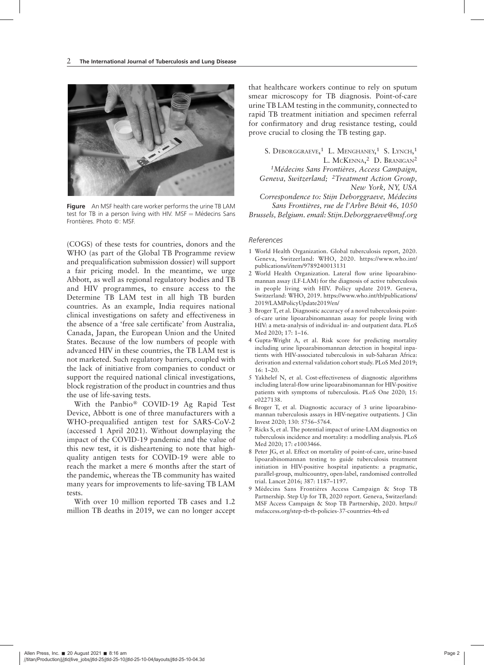

**Figure** An MSF health care worker performs the urine TB LAM test for TB in a person living with HIV.  $MSF = M\acute{e}$ decins Sans Frontières. Photo ©: MSF.

(COGS) of these tests for countries, donors and the WHO (as part of the Global TB Programme review and prequalification submission dossier) will support a fair pricing model. In the meantime, we urge Abbott, as well as regional regulatory bodies and TB and HIV programmes, to ensure access to the Determine TB LAM test in all high TB burden countries. As an example, India requires national clinical investigations on safety and effectiveness in the absence of a 'free sale certificate' from Australia, Canada, Japan, the European Union and the United States. Because of the low numbers of people with advanced HIV in these countries, the TB LAM test is not marketed. Such regulatory barriers, coupled with the lack of initiative from companies to conduct or support the required national clinical investigations, block registration of the product in countries and thus the use of life-saving tests.

With the Panbio<sup>®</sup> COVID-19 Ag Rapid Test Device, Abbott is one of three manufacturers with a WHO-prequalified antigen test for SARS-CoV-2 (accessed 1 April 2021). Without downplaying the impact of the COVID-19 pandemic and the value of this new test, it is disheartening to note that highquality antigen tests for COVID-19 were able to reach the market a mere 6 months after the start of the pandemic, whereas the TB community has waited many years for improvements to life-saving TB LAM tests.

With over 10 million reported TB cases and 1.2 million TB deaths in 2019, we can no longer accept that healthcare workers continue to rely on sputum smear microscopy for TB diagnosis. Point-of-care urine TB LAM testing in the community, connected to rapid TB treatment initiation and specimen referral for confirmatory and drug resistance testing, could prove crucial to closing the TB testing gap.

S. DEBORGGRAEVE,<sup>1</sup> L. MENGHANEY,<sup>1</sup> S. LYNCH,<sup>1</sup> L. MCKENNA,<sup>2</sup> D. BRANIGAN<sup>2</sup>

<sup>1</sup>Médecins Sans Frontières, Access Campaign, Geneva, Switzerland; <sup>2</sup>Treatment Action Group, New York, NY, USA

Correspondence to: Stijn Deborggraeve, Médecins Sans Frontières, rue de l'Arbre Bénit 46, 1050 Brussels, Belgium. email: Stijn.Deborggraeve@msf.org

## References

- 1 World Health Organization. Global tuberculosis report, 2020. Geneva, Switzerland: WHO, 2020. https://www.who.int/ publications/i/item/9789240013131
- 2 World Health Organization. Lateral flow urine lipoarabinomannan assay (LF-LAM) for the diagnosis of active tuberculosis in people living with HIV. Policy update 2019. Geneva, Switzerland: WHO, 2019. https://www.who.int/tb/publications/ 2019/LAMPolicyUpdate2019/en/
- 3 Broger T, et al. Diagnostic accuracy of a novel tuberculosis pointof-care urine lipoarabinomannan assay for people living with HIV: a meta-analysis of individual in- and outpatient data. PLoS Med 2020; 17: 1–16.
- 4 Gupta-Wright A, et al. Risk score for predicting mortality including urine lipoarabinomannan detection in hospital inpatients with HIV-associated tuberculosis in sub-Saharan Africa: derivation and external validation cohort study. PLoS Med 2019; 16: 1–20.
- 5 Yakhelef N, et al. Cost-effectiveness of diagnostic algorithms including lateral-flow urine lipoarabinomannan for HIV-positive patients with symptoms of tuberculosis. PLoS One 2020; 15: e0227138.
- 6 Broger T, et al. Diagnostic accuracy of 3 urine lipoarabinomannan tuberculosis assays in HIV-negative outpatients. J Clin Invest 2020; 130: 5756–5764.
- 7 Ricks S, et al. The potential impact of urine-LAM diagnostics on tuberculosis incidence and mortality: a modelling analysis. PLoS Med 2020; 17: e1003466.
- 8 Peter JG, et al. Effect on mortality of point-of-care, urine-based lipoarabinomannan testing to guide tuberculosis treatment initiation in HIV-positive hospital inpatients: a pragmatic, parallel-group, multicountry, open-label, randomised controlled trial. Lancet 2016; 387: 1187–1197.
- 9 Médecins Sans Frontières Access Campaign & Stop TB Partnership. Step Up for TB, 2020 report. Geneva, Switzerland: MSF Access Campaign & Stop TB Partnership, 2020. https:// msfaccess.org/step-tb-tb-policies-37-countries-4th-ed